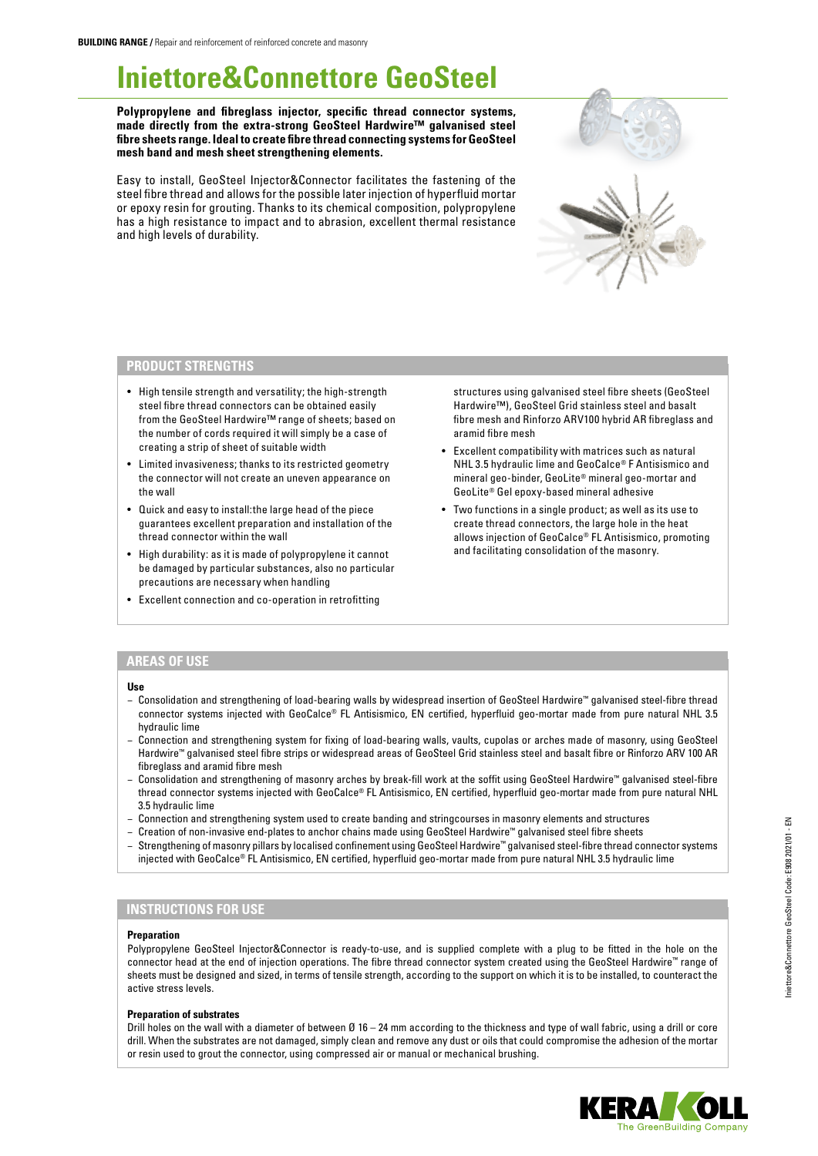# **Iniettore&Connettore GeoSteel**

**Polypropylene and fibreglass injector, specific thread connector systems, made directly from the extra-strong GeoSteel Hardwire™ galvanised steel fibre sheets range. Ideal to create fibre thread connecting systems for GeoSteel mesh band and mesh sheet strengthening elements.**

Easy to install, GeoSteel Injector&Connector facilitates the fastening of the steel fibre thread and allows for the possible later injection of hyperfluid mortar or epoxy resin for grouting. Thanks to its chemical composition, polypropylene has a high resistance to impact and to abrasion, excellent thermal resistance and high levels of durability.

## **PRODUCT STRENGTHS**

- High tensile strength and versatility; the high-strength steel fibre thread connectors can be obtained easily from the GeoSteel Hardwire™ range of sheets; based on the number of cords required it will simply be a case of creating a strip of sheet of suitable width
- Limited invasiveness; thanks to its restricted geometry the connector will not create an uneven appearance on the wall
- Quick and easy to install:the large head of the piece guarantees excellent preparation and installation of the thread connector within the wall
- High durability: as it is made of polypropylene it cannot be damaged by particular substances, also no particular precautions are necessary when handling
- Excellent connection and co-operation in retrofitting

structures using galvanised steel fibre sheets (GeoSteel Hardwire™), GeoSteel Grid stainless steel and basalt fibre mesh and Rinforzo ARV100 hybrid AR fibreglass and aramid fibre mesh

- Excellent compatibility with matrices such as natural NHL 3.5 hydraulic lime and GeoCalce® F Antisismico and mineral geo-binder, GeoLite® mineral geo-mortar and GeoLite® Gel epoxy-based mineral adhesive
- Two functions in a single product; as well as its use to create thread connectors, the large hole in the heat allows injection of GeoCalce® FL Antisismico, promoting and facilitating consolidation of the masonry.

## **AREAS OF USE**

### **Use**

- − Consolidation and strengthening of load-bearing walls by widespread insertion of GeoSteel Hardwire™ galvanised steel-fibre thread connector systems injected with GeoCalce® FL Antisismico, EN certified, hyperfluid geo-mortar made from pure natural NHL 3.5 hydraulic lime
- − Connection and strengthening system for fixing of load-bearing walls, vaults, cupolas or arches made of masonry, using GeoSteel Hardwire™ galvanised steel fibre strips or widespread areas of GeoSteel Grid stainless steel and basalt fibre or Rinforzo ARV 100 AR fibreglass and aramid fibre mesh
- − Consolidation and strengthening of masonry arches by break-fill work at the soffit using GeoSteel Hardwire™ galvanised steel-fibre thread connector systems injected with GeoCalce® FL Antisismico, EN certified, hyperfluid geo-mortar made from pure natural NHL 3.5 hydraulic lime
- − Connection and strengthening system used to create banding and stringcourses in masonry elements and structures
- − Creation of non-invasive end-plates to anchor chains made using GeoSteel Hardwire™ galvanised steel fibre sheets
- − Strengthening of masonry pillars by localised confinement using GeoSteel Hardwire™ galvanised steel-fibre thread connector systems injected with GeoCalce® FL Antisismico, EN certified, hyperfluid geo-mortar made from pure natural NHL 3.5 hydraulic lime

## **INSTRUCTIONS FOR USE**

### **Preparation**

Polypropylene GeoSteel Injector&Connector is ready-to-use, and is supplied complete with a plug to be fitted in the hole on the connector head at the end of injection operations. The fibre thread connector system created using the GeoSteel Hardwire™ range of sheets must be designed and sized, in terms of tensile strength, according to the support on which it is to be installed, to counteract the active stress levels.

### **Preparation of substrates**

Drill holes on the wall with a diameter of between Ø 16 – 24 mm according to the thickness and type of wall fabric, using a drill or core drill. When the substrates are not damaged, simply clean and remove any dust or oils that could compromise the adhesion of the mortar or resin used to grout the connector, using compressed air or manual or mechanical brushing.



Iniettore&Connettore GeoSteel Code: E908 2021/01 - EN

niettore&Connettore GeoSteel Code: E908 2021/01 - EN